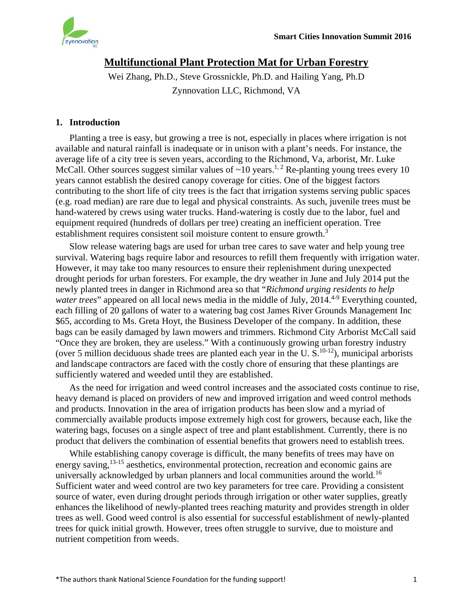

# **Multifunctional Plant Protection Mat for Urban Forestry**

Wei Zhang, Ph.D., Steve Grossnickle, Ph.D. and Hailing Yang, Ph.D Zynnovation LLC, Richmond, VA

## **1. Introduction**

Planting a tree is easy, but growing a tree is not, especially in places where irrigation is not available and natural rainfall is inadequate or in unison with a plant's needs. For instance, the average life of a city tree is seven years, according to the Richmond, Va, arborist, Mr. Luke McCall. Other sources suggest similar values of  $\sim 10$  years.<sup>1, 2</sup> Re-planting young trees every 10 years cannot establish the desired canopy coverage for cities. One of the biggest factors contributing to the short life of city trees is the fact that irrigation systems serving public spaces (e.g. road median) are rare due to legal and physical constraints. As such, juvenile trees must be hand-watered by crews using water trucks. Hand-watering is costly due to the labor, fuel and equipment required (hundreds of dollars per tree) creating an inefficient operation. Tree establishment requires consistent soil moisture content to ensure growth.<sup>3</sup>

Slow release watering bags are used for urban tree cares to save water and help young tree survival. Watering bags require labor and resources to refill them frequently with irrigation water. However, it may take too many resources to ensure their replenishment during unexpected drought periods for urban foresters. For example, the dry weather in June and July 2014 put the newly planted trees in danger in Richmond area so that "*Richmond urging residents to help water trees*" appeared on all local news media in the middle of July, 2014.<sup>4-9</sup> Everything counted, each filling of 20 gallons of water to a watering bag cost James River Grounds Management Inc \$65, according to Ms. Greta Hoyt, the Business Developer of the company. In addition, these bags can be easily damaged by lawn mowers and trimmers. Richmond City Arborist McCall said "Once they are broken, they are useless." With a continuously growing urban forestry industry (over 5 million deciduous shade trees are planted each year in the U.S.<sup>10-12</sup>), municipal arborists and landscape contractors are faced with the costly chore of ensuring that these plantings are sufficiently watered and weeded until they are established.

As the need for irrigation and weed control increases and the associated costs continue to rise, heavy demand is placed on providers of new and improved irrigation and weed control methods and products. Innovation in the area of irrigation products has been slow and a myriad of commercially available products impose extremely high cost for growers, because each, like the watering bags, focuses on a single aspect of tree and plant establishment. Currently, there is no product that delivers the combination of essential benefits that growers need to establish trees.

While establishing canopy coverage is difficult, the many benefits of trees may have on energy saving, <sup>13-15</sup> aesthetics, environmental protection, recreation and economic gains are universally acknowledged by urban planners and local communities around the world.<sup>16</sup> Sufficient water and weed control are two key parameters for tree care. Providing a consistent source of water, even during drought periods through irrigation or other water supplies, greatly enhances the likelihood of newly-planted trees reaching maturity and provides strength in older trees as well. Good weed control is also essential for successful establishment of newly-planted trees for quick initial growth. However, trees often struggle to survive, due to moisture and nutrient competition from weeds.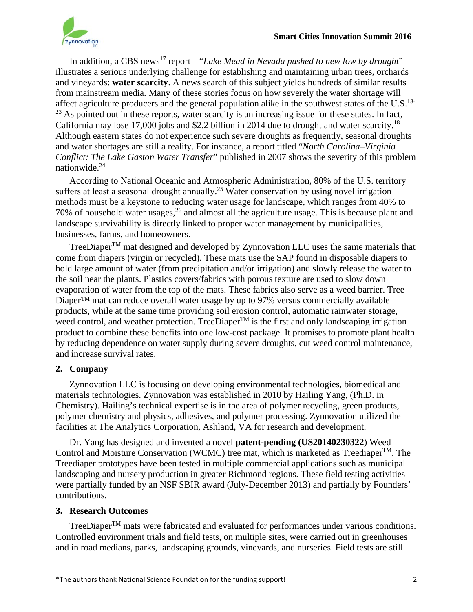

In addition, a CBS news<sup>17</sup> report – "*Lake Mead in Nevada pushed to new low by drought*" – illustrates a serious underlying challenge for establishing and maintaining urban trees, orchards and vineyards: **water scarcity**. A news search of this subject yields hundreds of similar results from mainstream media. Many of these stories focus on how severely the water shortage will affect agriculture producers and the general population alike in the southwest states of the U.S.<sup>18-</sup>  $23$  As pointed out in these reports, water scarcity is an increasing issue for these states. In fact, California may lose 17,000 jobs and \$2.2 billion in 2014 due to drought and water scarcity.<sup>18</sup> Although eastern states do not experience such severe droughts as frequently, seasonal droughts and water shortages are still a reality. For instance, a report titled "*North Carolina–Virginia Conflict: The Lake Gaston Water Transfer*" published in 2007 shows the severity of this problem nationwide.24

According to National Oceanic and Atmospheric Administration, 80% of the U.S. territory suffers at least a seasonal drought annually.<sup>25</sup> Water conservation by using novel irrigation methods must be a keystone to reducing water usage for landscape, which ranges from 40% to 70% of household water usages,  $2<sup>6</sup>$  and almost all the agriculture usage. This is because plant and landscape survivability is directly linked to proper water management by municipalities, businesses, farms, and homeowners.

TreeDiaper $T^{M}$  mat designed and developed by Zynnovation LLC uses the same materials that come from diapers (virgin or recycled). These mats use the SAP found in disposable diapers to hold large amount of water (from precipitation and/or irrigation) and slowly release the water to the soil near the plants. Plastics covers/fabrics with porous texture are used to slow down evaporation of water from the top of the mats. These fabrics also serve as a weed barrier. Tree Diaper™ mat can reduce overall water usage by up to 97% versus commercially available products, while at the same time providing soil erosion control, automatic rainwater storage, weed control, and weather protection. TreeDiaper<sup>TM</sup> is the first and only landscaping irrigation product to combine these benefits into one low-cost package. It promises to promote plant health by reducing dependence on water supply during severe droughts, cut weed control maintenance, and increase survival rates.

# **2. Company**

Zynnovation LLC is focusing on developing environmental technologies, biomedical and materials technologies. Zynnovation was established in 2010 by Hailing Yang, (Ph.D. in Chemistry). Hailing's technical expertise is in the area of polymer recycling, green products, polymer chemistry and physics, adhesives, and polymer processing. Zynnovation utilized the facilities at The Analytics Corporation, Ashland, VA for research and development.

Dr. Yang has designed and invented a novel **patent-pending (US20140230322**) Weed Control and Moisture Conservation (WCMC) tree mat, which is marketed as Treediaper<sup>TM</sup>. The Treediaper prototypes have been tested in multiple commercial applications such as municipal landscaping and nursery production in greater Richmond regions. These field testing activities were partially funded by an NSF SBIR award (July-December 2013) and partially by Founders' contributions.

# **3. Research Outcomes**

TreeDiaper $T<sup>TM</sup>$  mats were fabricated and evaluated for performances under various conditions. Controlled environment trials and field tests, on multiple sites, were carried out in greenhouses and in road medians, parks, landscaping grounds, vineyards, and nurseries. Field tests are still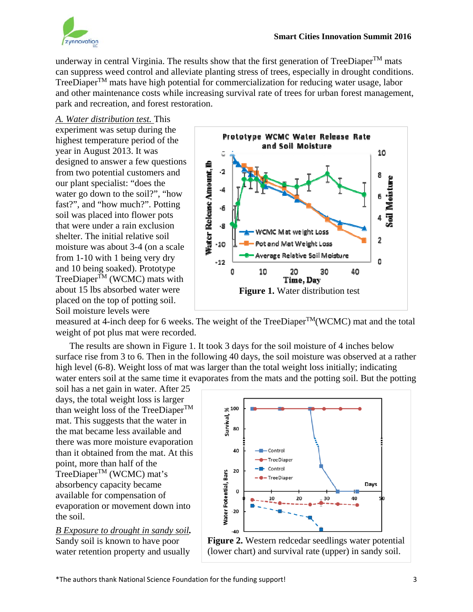

underway in central Virginia. The results show that the first generation of TreeDiaper<sup>TM</sup> mats can suppress weed control and alleviate planting stress of trees, especially in drought conditions. TreeDiaper<sup>TM</sup> mats have high potential for commercialization for reducing water usage, labor and other maintenance costs while increasing survival rate of trees for urban forest management, park and recreation, and forest restoration.

### *A. Water distribution test.* This

experiment was setup during the highest temperature period of the year in August 2013. It was designed to answer a few questions from two potential customers and our plant specialist: "does the water go down to the soil?", "how fast?", and "how much?". Potting soil was placed into flower pots that were under a rain exclusion shelter. The initial relative soil moisture was about 3-4 (on a scale from 1-10 with 1 being very dry and 10 being soaked). Prototype  $TreeDigner^{\overline{TM}}$  (WCMC) mats with about 15 lbs absorbed water were placed on the top of potting soil. Soil moisture levels were



measured at 4-inch deep for 6 weeks. The weight of the TreeDiaperTM(WCMC) mat and the total weight of pot plus mat were recorded.

The results are shown in Figure 1. It took 3 days for the soil moisture of 4 inches below surface rise from 3 to 6. Then in the following 40 days, the soil moisture was observed at a rather high level (6-8). Weight loss of mat was larger than the total weight loss initially; indicating water enters soil at the same time it evaporates from the mats and the potting soil. But the potting

soil has a net gain in water. After 25 days, the total weight loss is larger than weight loss of the TreeDiaper $^{TM}$ mat. This suggests that the water in the mat became less available and there was more moisture evaporation than it obtained from the mat. At this point, more than half of the TreeDiaperTM (WCMC) mat's absorbency capacity became available for compensation of evaporation or movement down into the soil.

*B Exposure to drought in sandy soil.*  Sandy soil is known to have poor water retention property and usually



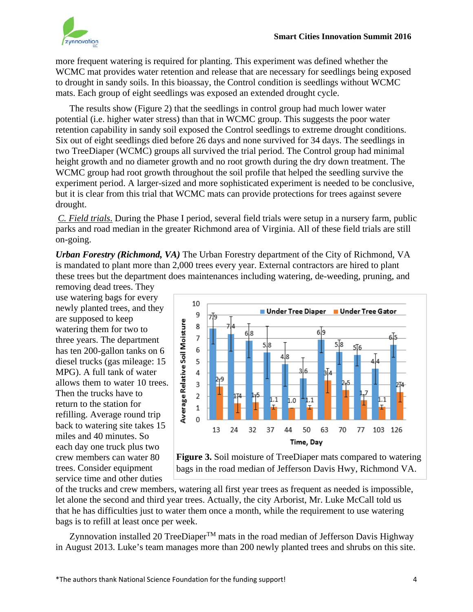

more frequent watering is required for planting. This experiment was defined whether the WCMC mat provides water retention and release that are necessary for seedlings being exposed to drought in sandy soils. In this bioassay, the Control condition is seedlings without WCMC mats. Each group of eight seedlings was exposed an extended drought cycle.

The results show (Figure 2) that the seedlings in control group had much lower water potential (i.e. higher water stress) than that in WCMC group. This suggests the poor water retention capability in sandy soil exposed the Control seedlings to extreme drought conditions. Six out of eight seedlings died before 26 days and none survived for 34 days. The seedlings in two TreeDiaper (WCMC) groups all survived the trial period. The Control group had minimal height growth and no diameter growth and no root growth during the dry down treatment. The WCMC group had root growth throughout the soil profile that helped the seedling survive the experiment period. A larger-sized and more sophisticated experiment is needed to be conclusive, but it is clear from this trial that WCMC mats can provide protections for trees against severe drought.

*C. Field trials*. During the Phase I period, several field trials were setup in a nursery farm, public parks and road median in the greater Richmond area of Virginia. All of these field trials are still on-going.

*Urban Forestry (Richmond, VA)* The Urban Forestry department of the City of Richmond, VA is mandated to plant more than 2,000 trees every year. External contractors are hired to plant these trees but the department does maintenances including watering, de-weeding, pruning, and

removing dead trees. They use watering bags for every newly planted trees, and they are supposed to keep watering them for two to three years. The department has ten 200-gallon tanks on 6 diesel trucks (gas mileage: 15 MPG). A full tank of water allows them to water 10 trees. Then the trucks have to return to the station for refilling. Average round trip back to watering site takes 15 miles and 40 minutes. So each day one truck plus two crew members can water 80 trees. Consider equipment service time and other duties



**Figure 3.** Soil moisture of TreeDiaper mats compared to watering bags in the road median of Jefferson Davis Hwy, Richmond VA.

of the trucks and crew members, watering all first year trees as frequent as needed is impossible, let alone the second and third year trees. Actually, the city Arborist, Mr. Luke McCall told us that he has difficulties just to water them once a month, while the requirement to use watering bags is to refill at least once per week.

Zynnovation installed 20 TreeDiaper<sup>TM</sup> mats in the road median of Jefferson Davis Highway in August 2013. Luke's team manages more than 200 newly planted trees and shrubs on this site.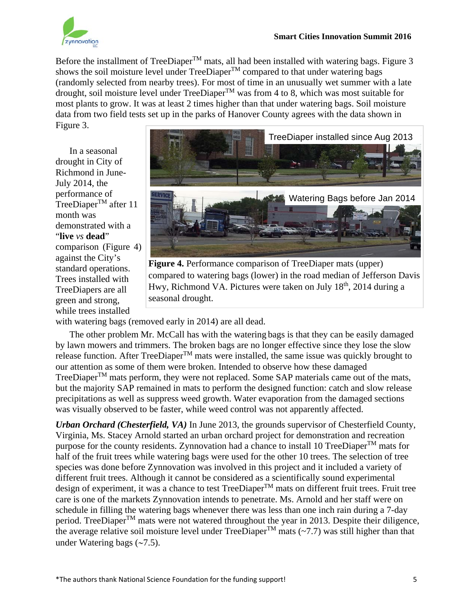

Before the installment of TreeDiaper<sup>TM</sup> mats, all had been installed with watering bags. Figure 3 shows the soil moisture level under TreeDiaper<sup>TM</sup> compared to that under watering bags (randomly selected from nearby trees). For most of time in an unusually wet summer with a late drought, soil moisture level under TreeDiaper<sup>TM</sup> was from 4 to 8, which was most suitable for most plants to grow. It was at least 2 times higher than that under watering bags. Soil moisture data from two field tests set up in the parks of Hanover County agrees with the data shown in Figure 3.

In a seasonal drought in City of Richmond in June-July 2014, the performance of TreeDiaper<sup>TM</sup> after 11 month was demonstrated with a "**live** *vs* **dead**" comparison (Figure 4) against the City's standard operations. Trees installed with TreeDiapers are all green and strong, while trees installed



**Figure 4.** Performance comparison of TreeDiaper mats (upper) compared to watering bags (lower) in the road median of Jefferson Davis Hwy, Richmond VA. Pictures were taken on July  $18<sup>th</sup>$ , 2014 during a seasonal drought.

with watering bags (removed early in 2014) are all dead.

The other problem Mr. McCall has with the watering bags is that they can be easily damaged by lawn mowers and trimmers. The broken bags are no longer effective since they lose the slow release function. After  $TreeDiaper^{TM}$  mats were installed, the same issue was quickly brought to our attention as some of them were broken. Intended to observe how these damaged TreeDiaper $T<sup>M</sup>$  mats perform, they were not replaced. Some SAP materials came out of the mats, but the majority SAP remained in mats to perform the designed function: catch and slow release precipitations as well as suppress weed growth. Water evaporation from the damaged sections was visually observed to be faster, while weed control was not apparently affected.

*Urban Orchard (Chesterfield, VA)* In June 2013, the grounds supervisor of Chesterfield County, Virginia, Ms. Stacey Arnold started an urban orchard project for demonstration and recreation purpose for the county residents. Zynnovation had a chance to install 10 TreeDiaper<sup>TM</sup> mats for half of the fruit trees while watering bags were used for the other 10 trees. The selection of tree species was done before Zynnovation was involved in this project and it included a variety of different fruit trees. Although it cannot be considered as a scientifically sound experimental design of experiment, it was a chance to test TreeDiaper<sup>™</sup> mats on different fruit trees. Fruit tree care is one of the markets Zynnovation intends to penetrate. Ms. Arnold and her staff were on schedule in filling the watering bags whenever there was less than one inch rain during a 7-day period. TreeDiaper<sup>™</sup> mats were not watered throughout the year in 2013. Despite their diligence, the average relative soil moisture level under TreeDiaper<sup>TM</sup> mats (~7.7) was still higher than that under Watering bags  $(-7.5)$ .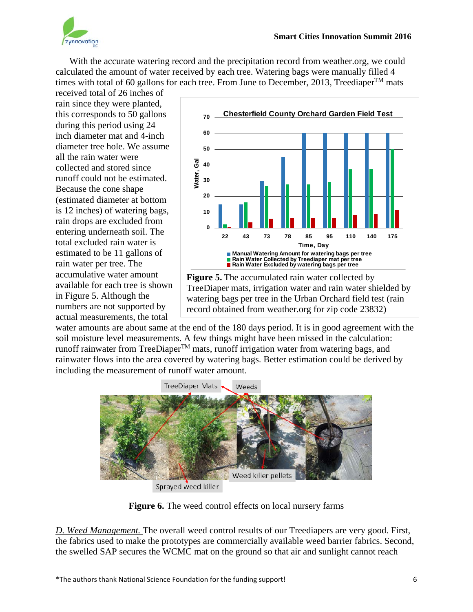

With the accurate watering record and the precipitation record from weather.org, we could calculated the amount of water received by each tree. Watering bags were manually filled 4 times with total of 60 gallons for each tree. From June to December, 2013, Treediaper<sup>TM</sup> mats

received total of 26 inches of rain since they were planted, this corresponds to 50 gallons during this period using 24 inch diameter mat and 4-inch diameter tree hole. We assume all the rain water were collected and stored since runoff could not be estimated. Because the cone shape (estimated diameter at bottom is 12 inches) of watering bags, rain drops are excluded from entering underneath soil. The total excluded rain water is estimated to be 11 gallons of rain water per tree. The accumulative water amount available for each tree is shown in Figure 5. Although the numbers are not supported by actual measurements, the total



**Figure 5.** The accumulated rain water collected by TreeDiaper mats, irrigation water and rain water shielded by watering bags per tree in the Urban Orchard field test (rain record obtained from weather.org for zip code 23832)

water amounts are about same at the end of the 180 days period. It is in good agreement with the soil moisture level measurements. A few things might have been missed in the calculation: runoff rainwater from TreeDiaper $T_M$  mats, runoff irrigation water from watering bags, and rainwater flows into the area covered by watering bags. Better estimation could be derived by including the measurement of runoff water amount.



Sprayed weed killer

**Figure 6.** The weed control effects on local nursery farms

*D. Weed Management.* The overall weed control results of our Treediapers are very good. First, the fabrics used to make the prototypes are commercially available weed barrier fabrics. Second, the swelled SAP secures the WCMC mat on the ground so that air and sunlight cannot reach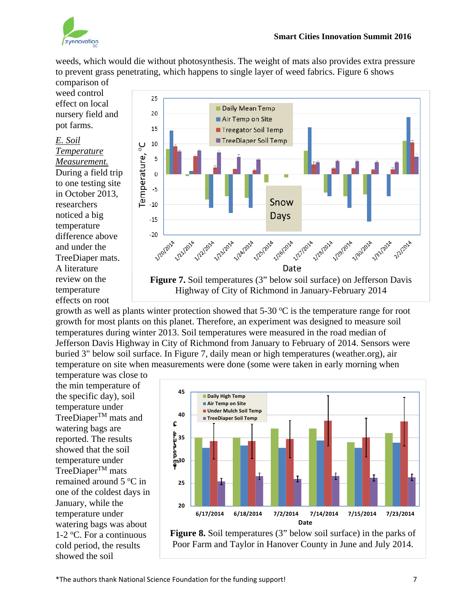

weeds, which would die without photosynthesis. The weight of mats also provides extra pressure to prevent grass penetrating, which happens to single layer of weed fabrics. Figure 6 shows

comparison of weed control effect on local nursery field and pot farms.

#### *E. Soil Temperature*

*Measurement.* During a field trip to one testing site in October 2013, researchers noticed a big temperature difference above and under the TreeDiaper mats. A literature review on the temperature effects on root



growth as well as plants winter protection showed that  $5\text{-}30\text{ °C}$  is the temperature range for root growth for most plants on this planet. Therefore, an experiment was designed to measure soil temperatures during winter 2013. Soil temperatures were measured in the road median of Jefferson Davis Highway in City of Richmond from January to February of 2014. Sensors were buried 3" below soil surface. In Figure 7, daily mean or high temperatures (weather.org), air temperature on site when measurements were done (some were taken in early morning when

temperature was close to the min temperature of the specific day), soil temperature under TreeDiaper<sup>TM</sup> mats and watering bags are reported. The results showed that the soil temperature under  $TreeDiaper^{TM}$  mats remained around 5 °C in one of the coldest days in January, while the temperature under watering bags was about 1-2 °C. For a continuous cold period, the results showed the soil



**Figure 8.** Soil temperatures (3" below soil surface) in the parks of Poor Farm and Taylor in Hanover County in June and July 2014.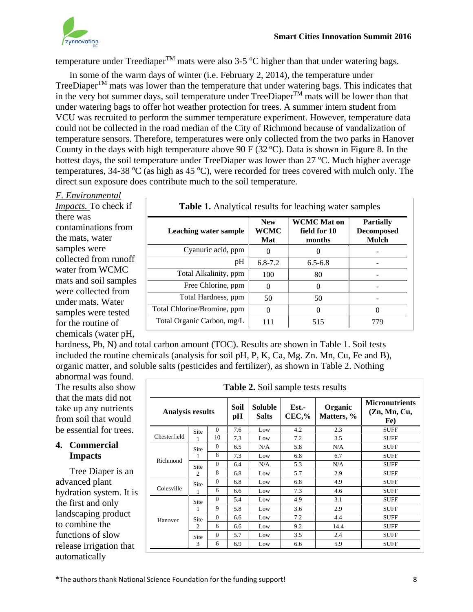

temperature under Treediaper<sup>TM</sup> mats were also 3-5 °C higher than that under watering bags.

In some of the warm days of winter (i.e. February 2, 2014), the temperature under TreeDiaper<sup>TM</sup> mats was lower than the temperature that under watering bags. This indicates that in the very hot summer days, soil temperature under  $TreeDiaper^{TM}$  mats will be lower than that under watering bags to offer hot weather protection for trees. A summer intern student from VCU was recruited to perform the summer temperature experiment. However, temperature data could not be collected in the road median of the City of Richmond because of vandalization of temperature sensors. Therefore, temperatures were only collected from the two parks in Hanover County in the days with high temperature above 90 F ( $32^{\circ}$ C). Data is shown in Figure 8. In the hottest days, the soil temperature under TreeDiaper was lower than 27 °C. Much higher average temperatures, 34-38  $\rm{°C}$  (as high as 45  $\rm{°C}$ ), were recorded for trees covered with mulch only. The direct sun exposure does contribute much to the soil temperature.

### *F. Environmental*

*Impacts.* To check if there was contaminations from the mats, water samples were collected from runoff water from WCMC mats and soil samples were collected from under mats. Water samples were tested for the routine of chemicals (water pH,

| <b>Table 1.</b> Analytical results for leaching water samples |                                  |                                              |                                                |  |  |
|---------------------------------------------------------------|----------------------------------|----------------------------------------------|------------------------------------------------|--|--|
| Leaching water sample                                         | <b>New</b><br><b>WCMC</b><br>Mat | <b>WCMC</b> Mat on<br>field for 10<br>months | <b>Partially</b><br><b>Decomposed</b><br>Mulch |  |  |
| Cyanuric acid, ppm                                            |                                  |                                              |                                                |  |  |
| pH                                                            | $6.8 - 7.2$                      | $6.5 - 6.8$                                  |                                                |  |  |
| Total Alkalinity, ppm                                         | 100                              | 80                                           |                                                |  |  |
| Free Chlorine, ppm                                            | $\theta$                         | $\Omega$                                     |                                                |  |  |
| Total Hardness, ppm                                           | 50                               | 50                                           |                                                |  |  |
| Total Chlorine/Bromine, ppm                                   | $\theta$                         | 0                                            |                                                |  |  |
| Total Organic Carbon, mg/L                                    | 111                              | 515                                          | 779                                            |  |  |

hardness, Pb, N) and total carbon amount (TOC). Results are shown in Table 1. Soil tests included the routine chemicals (analysis for soil pH, P, K, Ca, Mg. Zn. Mn, Cu, Fe and B), organic matter, and soluble salts (pesticides and fertilizer), as shown in Table 2. Nothing

abnormal was found. The results also show that the mats did not take up any nutrients from soil that would be essential for trees.

#### **4. Commercial Impacts**

Tree Diaper is an advanced plant hydration system. It is the first and only landscaping product to combine the functions of slow release irrigation that automatically

| <b>Table 2.</b> Soil sample tests results |                        |            |                                              |     |                       |                                              |             |  |
|-------------------------------------------|------------------------|------------|----------------------------------------------|-----|-----------------------|----------------------------------------------|-------------|--|
| <b>Analysis results</b>                   |                        | Soil<br>pH | Soluble<br>Est.-<br>$CEC$ ,%<br><b>Salts</b> |     | Organic<br>Matters, % | <b>Micronutrients</b><br>(Zn, Mn, Cu,<br>Fe) |             |  |
| Chesterfield                              | Site<br>1              | $\Omega$   | 7.6                                          | Low | 4.2                   | 2.3                                          | <b>SUFF</b> |  |
|                                           |                        | 10         | 7.3                                          | Low | 7.2                   | 3.5                                          | <b>SUFF</b> |  |
| Richmond                                  | Site                   | $\Omega$   | 6.5                                          | N/A | 5.8                   | N/A                                          | <b>SUFF</b> |  |
|                                           |                        | 8          | 7.3                                          | Low | 6.8                   | 6.7                                          | <b>SUFF</b> |  |
|                                           | Site<br>$\overline{c}$ | $\Omega$   | 6.4                                          | N/A | 5.3                   | N/A                                          | <b>SUFF</b> |  |
|                                           |                        | 8          | 6.8                                          | Low | 5.7                   | 2.9                                          | <b>SUFF</b> |  |
| Colesville                                | Site<br>1              | $\Omega$   | 6.8                                          | Low | 6.8                   | 4.9                                          | <b>SUFF</b> |  |
|                                           |                        | 6          | 6.6                                          | Low | 7.3                   | 4.6                                          | <b>SUFF</b> |  |
| Hanover                                   | Site<br>1              | $\Omega$   | 5.4                                          | Low | 4.9                   | 3.1                                          | <b>SUFF</b> |  |
|                                           |                        | 9          | 5.8                                          | Low | 3.6                   | 2.9                                          | <b>SUFF</b> |  |
|                                           | Site<br>$\overline{2}$ | $\Omega$   | 6.6                                          | Low | 7.2                   | 4.4                                          | <b>SUFF</b> |  |
|                                           |                        | 6          | 6.6                                          | Low | 9.2                   | 14.4                                         | <b>SUFF</b> |  |
|                                           | Site<br>3              | $\Omega$   | 5.7                                          | Low | 3.5                   | 2.4                                          | <b>SUFF</b> |  |
|                                           |                        | 6          | 6.9                                          | Low | 6.6                   | 5.9                                          | <b>SUFF</b> |  |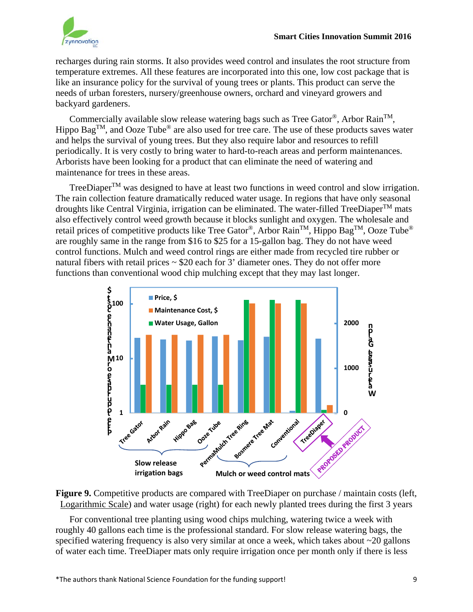

recharges during rain storms. It also provides weed control and insulates the root structure from temperature extremes. All these features are incorporated into this one, low cost package that is like an insurance policy for the survival of young trees or plants. This product can serve the needs of urban foresters, nursery/greenhouse owners, orchard and vineyard growers and backyard gardeners.

Commercially available slow release watering bags such as Tree Gator<sup>®</sup>, Arbor Rain<sup>TM</sup>, Hippo Bag<sup>TM</sup>, and Ooze Tube<sup>®</sup> are also used for tree care. The use of these products saves water and helps the survival of young trees. But they also require labor and resources to refill periodically. It is very costly to bring water to hard-to-reach areas and perform maintenances. Arborists have been looking for a product that can eliminate the need of watering and maintenance for trees in these areas.

TreeDiaper<sup>TM</sup> was designed to have at least two functions in weed control and slow irrigation. The rain collection feature dramatically reduced water usage. In regions that have only seasonal droughts like Central Virginia, irrigation can be eliminated. The water-filled TreeDiaper<sup>TM</sup> mats also effectively control weed growth because it blocks sunlight and oxygen. The wholesale and retail prices of competitive products like Tree Gator®, Arbor Rain<sup>TM</sup>, Hippo Bag<sup>TM</sup>, Ooze Tube<sup>®</sup> are roughly same in the range from \$16 to \$25 for a 15-gallon bag. They do not have weed control functions. Mulch and weed control rings are either made from recycled tire rubber or natural fibers with retail prices  $\sim$  \$20 each for 3' diameter ones. They do not offer more functions than conventional wood chip mulching except that they may last longer.



**Figure 9.** Competitive products are compared with TreeDiaper on purchase / maintain costs (left, Logarithmic Scale) and water usage (right) for each newly planted trees during the first 3 years

For conventional tree planting using wood chips mulching, watering twice a week with roughly 40 gallons each time is the professional standard. For slow release watering bags, the specified watering frequency is also very similar at once a week, which takes about ~20 gallons of water each time. TreeDiaper mats only require irrigation once per month only if there is less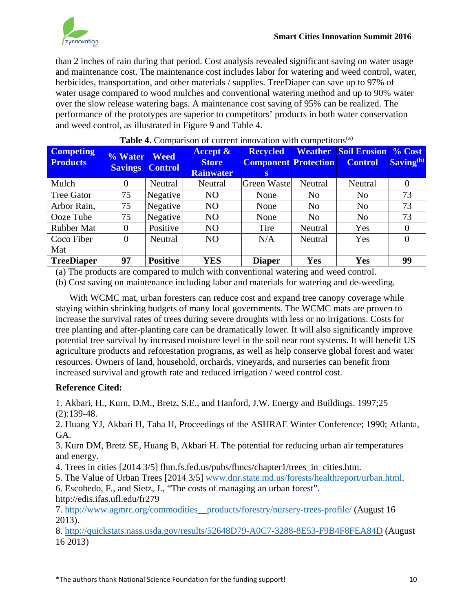

than 2 inches of rain during that period. Cost analysis revealed significant saving on water usage and maintenance cost. The maintenance cost includes labor for watering and weed control, water, herbicides, transportation, and other materials / supplies. TreeDiaper can save up to 97% of water usage compared to wood mulches and conventional watering method and up to 90% water over the slow release watering bags. A maintenance cost saving of 95% can be realized. The performance of the prototypes are superior to competitors' products in both water conservation and weed control, as illustrated in Figure 9 and Table 4.

| <b>Competing</b><br><b>Products</b> | % Water<br><b>Savings</b> | <b>Weed</b><br><b>Control</b> | <b>Accept &amp;</b><br><b>Store</b><br><b>Rainwater</b> | <b>Recycled</b><br><b>Component Protection</b><br>$\mathbf{s}$ | Weather        | <b>Soil Erosion % Cost</b><br><b>Control</b> | Saving <sup>(b)</sup> |
|-------------------------------------|---------------------------|-------------------------------|---------------------------------------------------------|----------------------------------------------------------------|----------------|----------------------------------------------|-----------------------|
| Mulch                               | 0                         | Neutral                       | Neutral                                                 | <b>Green Waste</b>                                             | Neutral        | Neutral                                      | $\Omega$              |
| <b>Tree Gator</b>                   | 75                        | Negative                      | N <sub>O</sub>                                          | None                                                           | N <sub>0</sub> | N <sub>o</sub>                               | 73                    |
| Arbor Rain,                         | 75                        | Negative                      | N <sub>O</sub>                                          | None                                                           | N <sub>o</sub> | N <sub>o</sub>                               | 73                    |
| Ooze Tube                           | 75                        | Negative                      | N <sub>O</sub>                                          | None                                                           | N <sub>0</sub> | N <sub>o</sub>                               | 73                    |
| <b>Rubber Mat</b>                   | $\Omega$                  | Positive                      | N <sub>O</sub>                                          | Tire                                                           | Neutral        | Yes                                          |                       |
| Coco Fiber                          | 0                         | Neutral                       | N <sub>O</sub>                                          | N/A                                                            | Neutral        | Yes                                          | 0                     |
| Mat                                 |                           |                               |                                                         |                                                                |                |                                              |                       |
| <b>TreeDiaper</b>                   | 97                        | <b>Positive</b>               | <b>YES</b>                                              | <b>Diaper</b>                                                  | Yes            | <b>Yes</b>                                   | 99                    |

#### **Table 4.** Comparison of current innovation with competitons<sup>(a)</sup>

(a) The products are compared to mulch with conventional watering and weed control.

(b) Cost saving on maintenance including labor and materials for watering and de-weeding.

With WCMC mat, urban foresters can reduce cost and expand tree canopy coverage while staying within shrinking budgets of many local governments. The WCMC mats are proven to increase the survival rates of trees during severe droughts with less or no irrigations. Costs for tree planting and after-planting care can be dramatically lower. It will also significantly improve potential tree survival by increased moisture level in the soil near root systems. It will benefit US agriculture products and reforestation programs, as well as help conserve global forest and water resources. Owners of land, household, orchards, vineyards, and nurseries can benefit from increased survival and growth rate and reduced irrigation / weed control cost.

### **Reference Cited:**

1. Akbari, H., Kurn, D.M., Bretz, S.E., and Hanford, J.W. Energy and Buildings. 1997;25 (2):139-48.

2. Huang YJ, Akbari H, Taha H, Proceedings of the ASHRAE Winter Conference; 1990; Atlanta, GA.

3. Kurn DM, Bretz SE, Huang B, Akbari H. The potential for reducing urban air temperatures and energy.

4. Trees in cities [2014 3/5] fhm.fs.fed.us/pubs/fhncs/chapter1/trees\_in\_cities.htm.

5. The Value of Urban Trees [2014 3/5] www.dnr.state.md.us/forests/healthreport/urban.html.

6. Escobedo, F., and Sietz, J., "The costs of managing an urban forest". http://edis.ifas.ufl.edu/fr279

7. http://www.agmrc.org/commodities\_\_products/forestry/nursery-trees-profile/ (August 16 2013).

8. http://quickstats.nass.usda.gov/results/52648D79-A0C7-3288-8E53-F9B4F8FEA84D (August 16 2013)